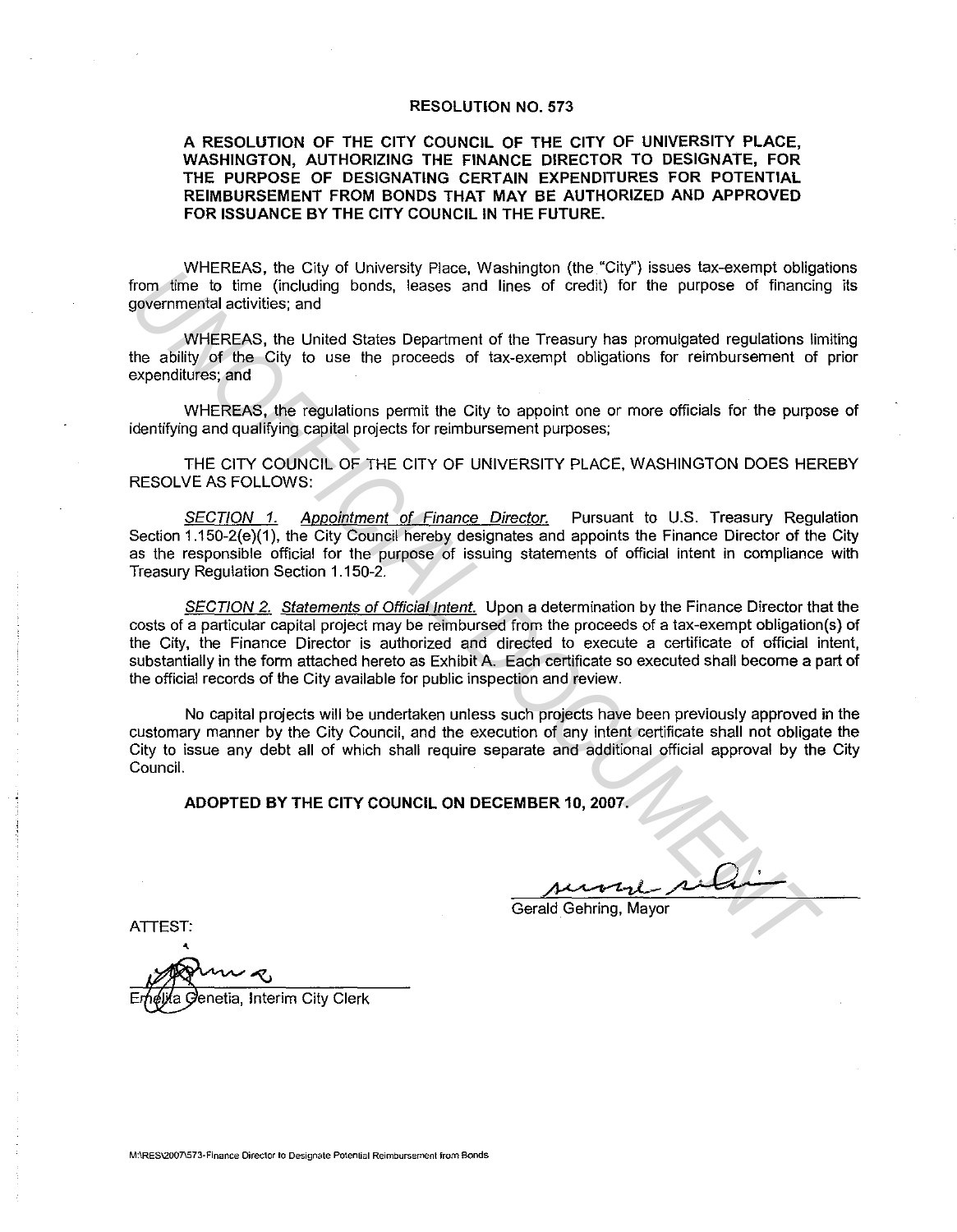#### RESOLUTION NO. 573

#### A RESOLUTION OF THE CITY COUNCIL OF THE CITY OF UNIVERSITY PLACE, WASHINGTON, AUTHORIZING THE FINANCE DIRECTOR TO DESIGNATE, FOR THE PURPOSE OF DESIGNATING CERTAIN EXPENDITURES FOR POTENTIAL REIMBURSEMENT FROM BONDS THAT MAY BE AUTHORIZED AND APPROVED FOR ISSUANCE BY THE CITY COUNCIL IN THE FUTURE.

WHEREAS, the City of University Place, Washington (the "City") issues tax-exempt obligations from time to time (including bonds, leases and lines of credit) for the purpose of financing its governmental activities; and

WHEREAS, the United States Department of the Treasury has promulgated regulations limiting the ability of the City to use the proceeds of tax-exempt obligations for reimbursement of prior expenditures; and

WHEREAS, the regulations permit the City to appoint one or more officials for the purpose of identifying and qualifying capital projects for reimbursement purposes;

THE CITY COUNCIL OF THE CITY OF UNIVERSITY PLACE, WASHINGTON DOES HEREBY RESOLVE AS FOLLOWS:

SECTION 1. Appointment of Finance Director. Pursuant to U.S. Treasury Regulation Section 1.150-2(e)(1), the City Council hereby designates and appoints the Finance Director of the City as the responsible official for the purpose of issuing statements of official intent in compliance with Treasury Regulation Section 1.150-2.

SECTION 2. Statements of Official Intent. Upon a determination by the Finance Director that the costs of a particular capital project may be reimbursed from the proceeds of a tax-exempt obligation(s) of the City, the Finance Director is authorized and directed to execute a certificate of official intent, substantially in the form attached hereto as Exhibit A. Each certificate so executed shall become a part of the official records of the City available for public inspection and review. from **time to the control of control in the control of the CAP-**<br> **EXERCITS IN THE CAP-**<br> **INSURENT CONDUCTS TO THE CAP (CONDUCTS)**<br> **UNOFFICIAL DOCUMENTAL DOCUMENTAL DOCUMENTAL DOCUMENTAL DOCUMENTAL DOCUMENTAL DOCUMENTAL** 

No capital projects will be undertaken unless such projects have been previously approved in the customary manner by the City Council, and the execution of any intent certificate shall not obligate the City to issue any debt all of which shall require separate and additional official approval by the City Council.

ADOPTED BY THE CITY COUNCIL ON DECEMBER 10, 2007.

Gerald. Gehring, Mayor

ATTEST:

حت enetia, Interim City Clerk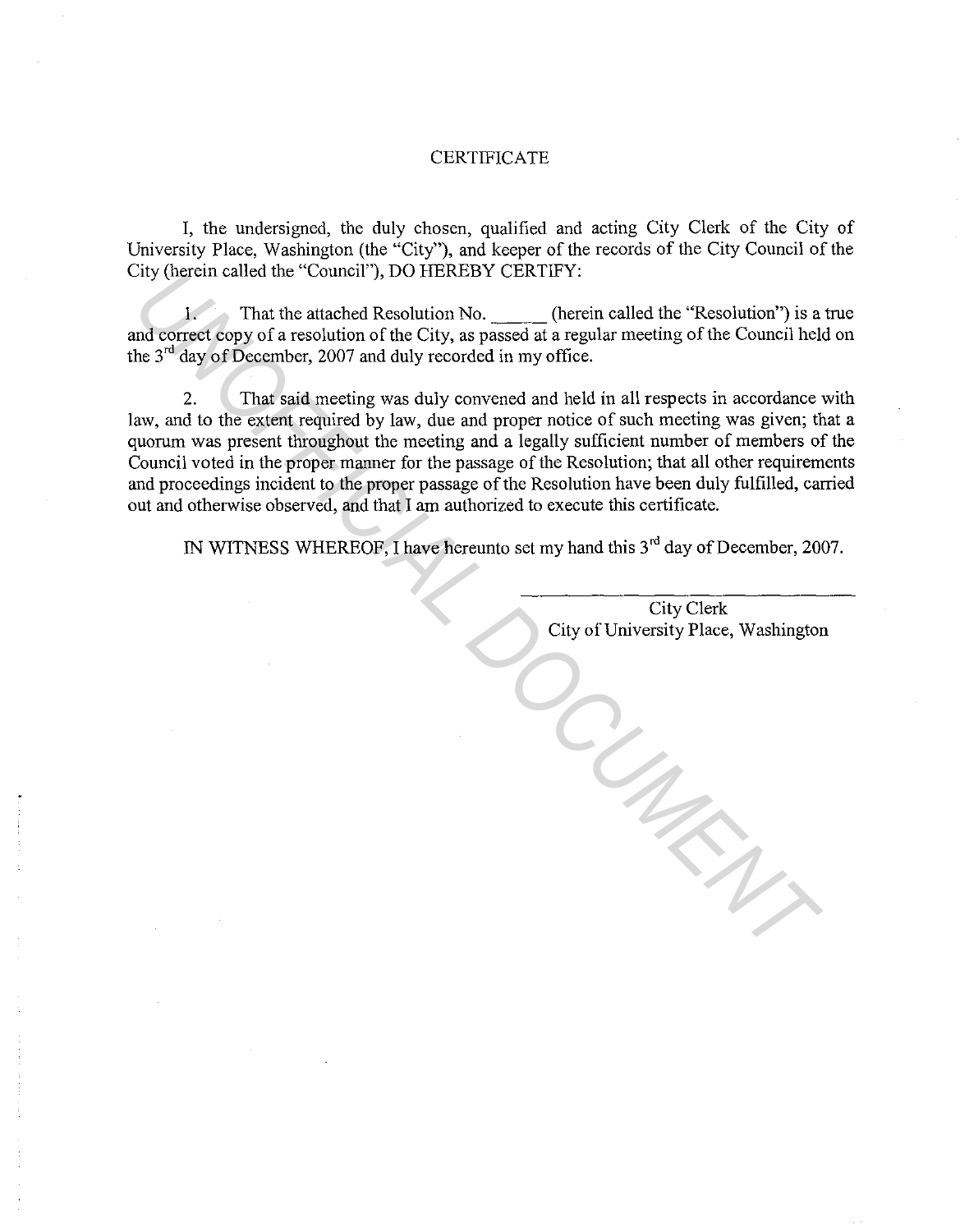# **CERTIFICATE**

I, the undersigned, the duly chosen, qualified and acting City Clerk of the City of University Place, Washington (the "City"), and keeper of the records of the City Council of the City (herein called the "Council"), DO HEREBY CERTIFY:

1. That the attached Resolution No. (herein called the "Resolution") is a true and correct copy of a resolution of the City, as passed at a regular meeting of the Council held on the  $3<sup>rd</sup>$  day of December, 2007 and duly recorded in my office.

2. That said meeting was duly convened and held in all respects in accordance with law, and to the extent required by law, due and proper notice of such meeting was given; that a quorum was present throughout the meeting and a legally sufficient number of members of the Council voted in the proper manner for the passage of the Resolution; that all other requirements and proceedings incident to the proper passage of the Resolution have been duly fulfilled, carried out and otherwise observed, and that I am authorized to execute this certificate.

IN WITNESS WHEREOF, I have hereunto set my hand this 3<sup>rd</sup> day of December, 2007.

City Clerk City of University Place, Washington

*UNOFFICIAL DOCUMENT*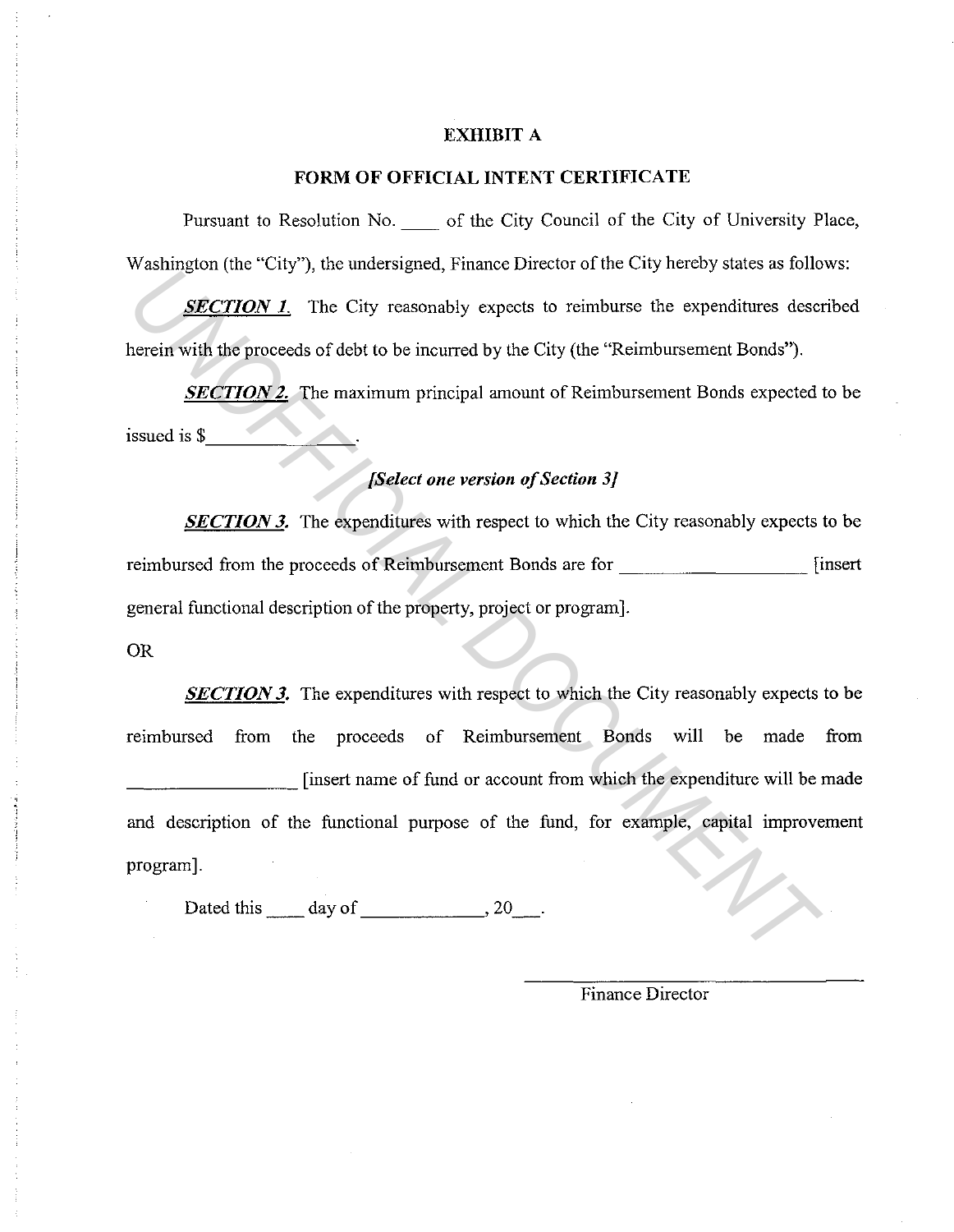# **EXHIBIT A**

## **FORM OF OFFICIAL INTENT CERTIFICATE**

Pursuant to Resolution No.  $\qquad$  of the City Council of the City of University Place, Washington (the "City"), the undersigned, Finance Director of the City hereby states as follows:

**SECTION 1.** The City reasonably expects to reimburse the expenditures described herein with the proceeds of debt to be incurred by the City (the "Reimbursement Bonds").

*SECTION 2.* The maximum principal amount of Reimbursement Bonds expected to be  $is \text{su}\text{e}$  is  $\text{\$}$ 

# *[Select one version of Section 3]*

*SECTION 3.* The expenditures with respect to which the City reasonably expects to be reimbursed from the proceeds of Reimbursement Bonds are for \_\_\_\_\_\_\_\_\_ [insert general functional description of the property, project or program].

# OR

*SECTION 3.* The expenditures with respect to which the City reasonably expects to be reimbursed from the proceeds of Reimbursement Bonds will be made from \_\_\_\_\_\_\_\_\_ [insert name of fund or account from which the expenditure will be made and description of the functional purpose of the fund, for example, capital improvement program]. *UNITAL The City is a material and the Entert of the City materials as some signal of the City material spectra of the City (the "Reimbursement Bonds").*<br> *SECTION 2.* The maximum principal amount of Reimbursement Bonds ex

Dated this  $\qquad \qquad$  day of  $\qquad \qquad$ , 20

Finance Director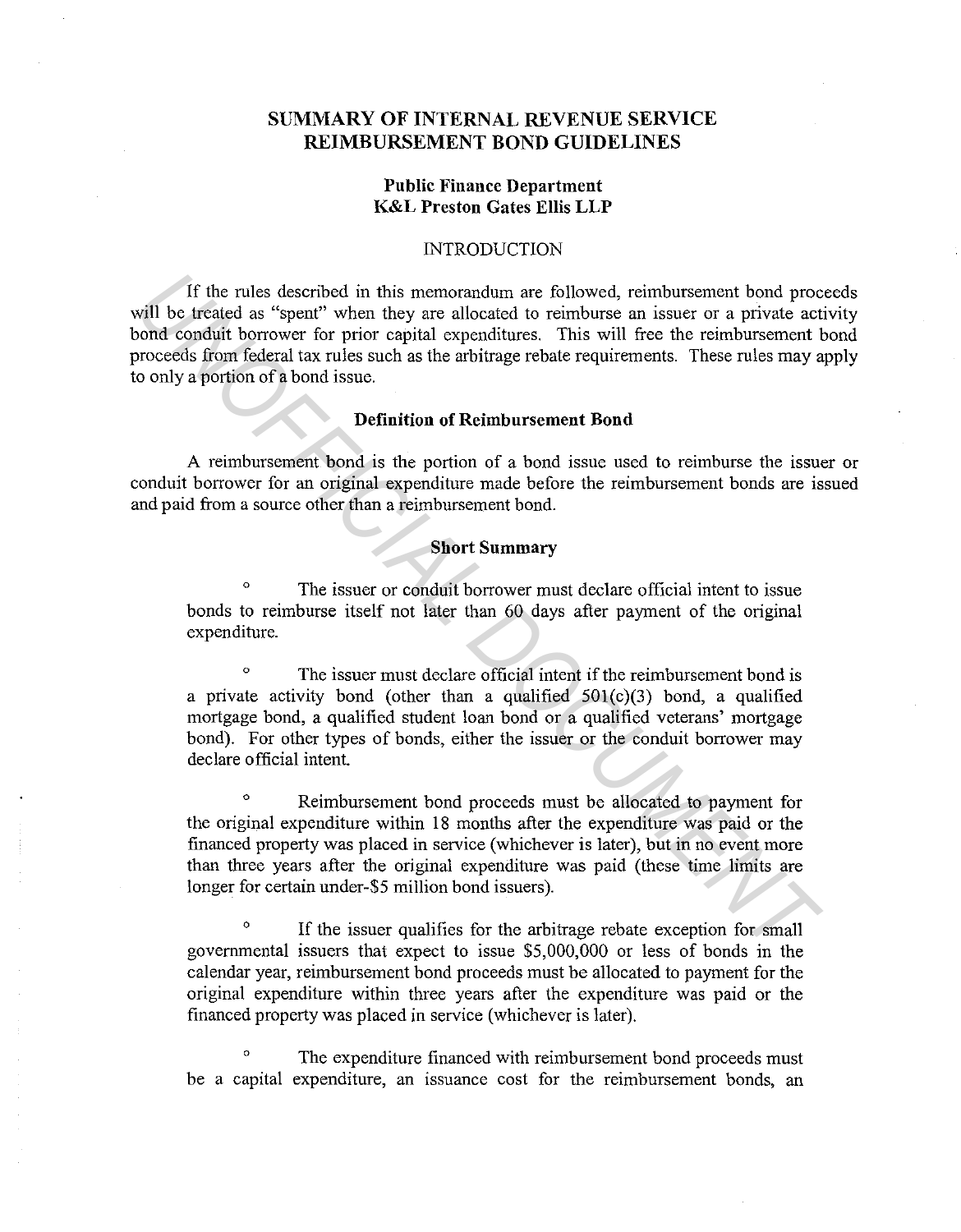# **SUMMARY OF INTERNAL REVENUE SERVICE REIMBURSEMENT BOND GUIDELINES**

# **Public Finance Department K&L Preston Gates Ellis LLP**

#### INTRODUCTION

If the rules described in this memorandum are followed, reimbursement bond proceeds will be treated as "spent" when they are allocated to reimburse an issuer or a private activity bond conduit borrower for prior capital expenditures. This will free the reimbursement bond proceeds from federal tax rules such as the arbitrage rebate requirements. These rules may apply to only a portion of a bond issue. If the rules described in this memorandum are followed, reimbursement bond propertions as "spent" when they are allocated to reimburse an issue or a private act and the properties of the properties of the are the propertie

# **Definition of Reimbursement Bond**

A reimbursement bond is the portion of a bond issue used to reimburse the issuer or conduit borrower for an original expenditure made before the reimbursement bonds are issued and paid from a source other than a reimbursement bond.

### **Short Summary**

The issuer or conduit borrower must declare official intent to issue bonds to reimburse itself not later than 60 days after payment of the original expenditure.

<sup>o</sup> The issuer must declare official intent if the reimbursement bond is a private activity bond (other than a qualified  $501(c)(3)$  bond, a qualified mortgage bond, a qualified student loan bond or a qualified veterans' mortgage bond). For other types of bonds, either the issuer or the conduit borrower may declare official intent.

0 Reimbursement bond proceeds must be allocated to payment for the original expenditure within 18 months after the expenditure was paid or the financed property was placed in service (whichever is later), but in no event more than three years after the original expenditure was paid (these time limits are longer for certain under-\$5 million bond issuers).

<sup>o</sup> If the issuer qualifies for the arbitrage rebate exception for small goverrunental issuers that expect to issue \$5,000,000 or less of bonds in the calendar year, reimbursement bond proceeds must be allocated to payment for the original expenditure within three years after the expenditure was paid or the financed property was placed in service (whichever is later).

<sup>o</sup> The expenditure financed with reimbursement bond proceeds must be a capital expenditure, an issuance cost for the reimbursement bonds, an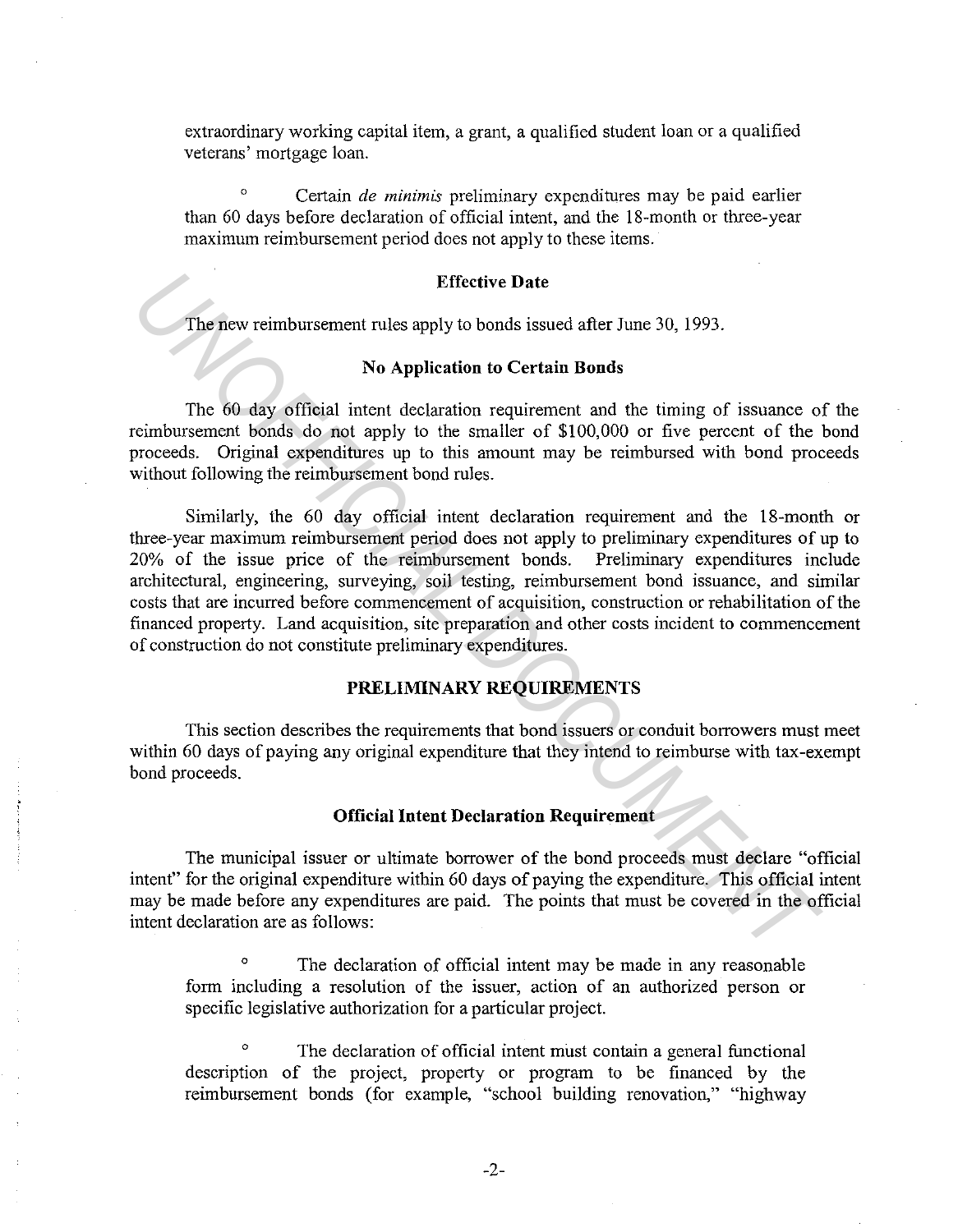extraordinary working capital item, a grant, a qualified student loan or a qualified veterans' mortgage loan.

° Certain *de minimis* preliminary expenditures may be paid earlier than 60 days before declaration of official intent, and the 18-month or three-year maximum reimbursement period does not apply to these items.

# **Effective Date**

The new reimbursement rules apply to bonds issued after June 30, 1993.

# **No Application to Certain Bonds**

The 60 day official intent declaration requirement and the timing of issuance of the reimbursement bonds do not apply to the smaller of \$100,000 or five percent of the bond proceeds. Original expenditures up to this amount may be reimbursed with bond proceeds without following the reimbursement bond rules.

Similarly, the 60 day official intent declaration requirement and the 18-month or three-year maximum reimbursement period does not apply to preliminary expenditures of up to 20% of the issue price of the reimbursement bonds. Preliminary expenditures include architectural, engineering, surveying, soil testing, reimbursement bond issuance, and similar costs that are incurred before commencement of acquisition, construction or rehabilitation of the financed property. Land acquisition, site preparation and other costs incident to commencement of construction do not constitute preliminary expenditures. Effective Date<br> **Effective Date**<br> **The five verimbursement rules apply to bonds issued after June 30, 1993.**<br> **No Application to Certrain Bonds**<br> **The 60 day official intent declaration requirement and the timing of issuar** 

# **PRELIMINARY REQUIREMENTS**

This section describes the requirements that bond issuers or conduit borrowers must meet within 60 days of paying any original expenditure that they intend to reimburse with tax-exempt bond proceeds.

# **Official Intent Declaration Requirement**

The municipal issuer or ultimate borrower of the bond proceeds must declare "official intent" for the original expenditure within 60 days of paying the expenditure. This official intent may be made before any expenditures are paid. The points that must be covered in the official intent declaration are as follows:

<sup>o</sup> The declaration of official intent may be made in any reasonable form including a resolution of the issuer, action of an authorized person or specific legislative authorization for a particular project.

The declaration of official intent must contain a general functional description of the project, property or program to be financed by the reimbursement bonds (for example, "school building renovation," "highway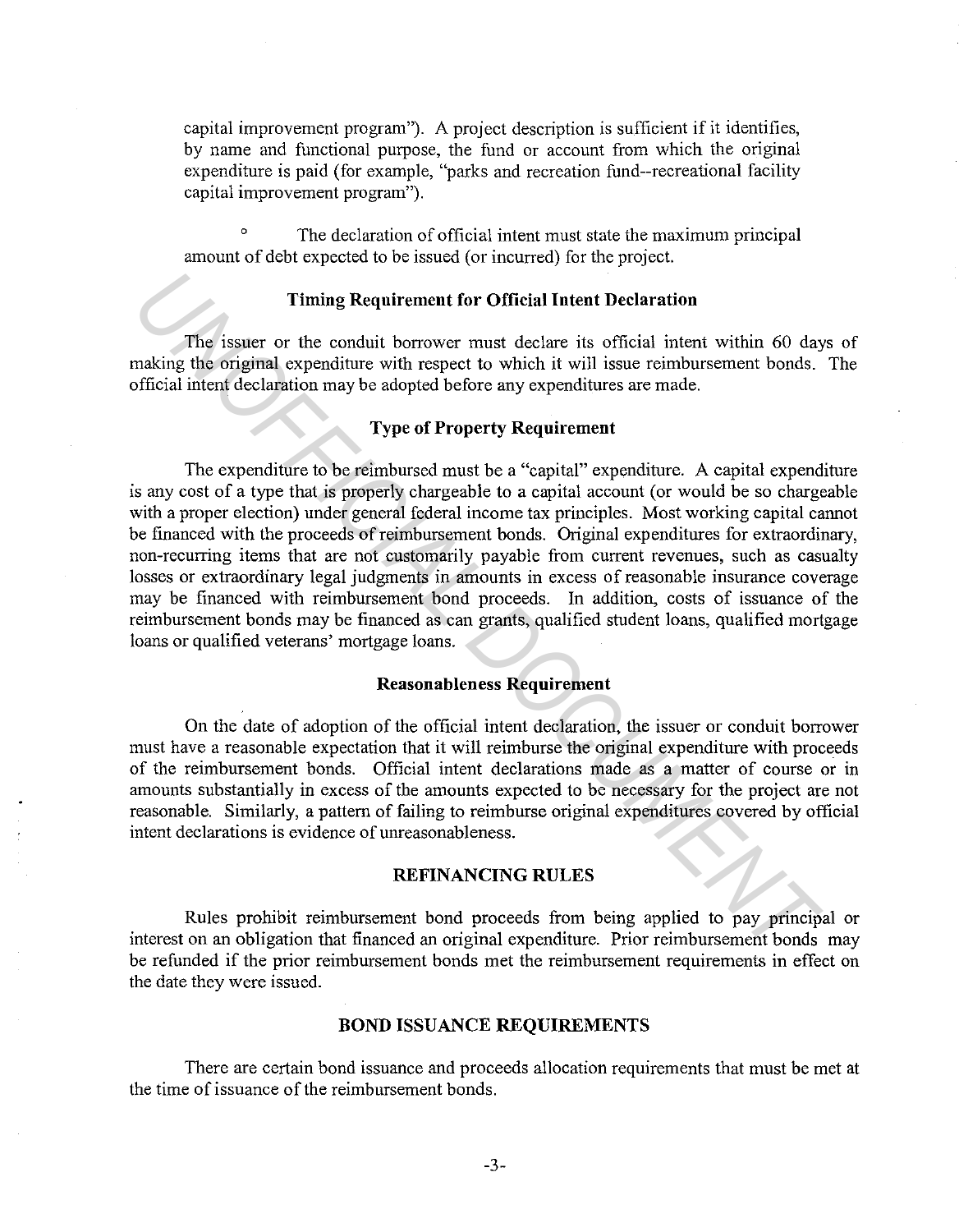capital improvement program"). A project description is sufficient if it identifies, by name and functional purpose, the fund or account from which the original expenditure is paid (for example, "parks and recreation fund--recreational facility capital improvement program").

The declaration of official intent must state the maximum principal amount of debt expected to be issued (or incurred) for the project.

#### **Timing Requirement for Official Intent Declaration**

The issuer or the conduit borrower must declare its official intent within 60 days of making the original expenditure with respect to which it will issue reimbursement bonds. The official intent declaration may be adopted before any expenditures are made.

# **Type of Property Requirement**

The expenditure to be reimbursed must be a "capital" expenditure. A capital expenditure is any cost of a type that is properly chargeable to a capital account (or would be so chargeable with a proper election) under general federal income tax principles. Most working capital cannot be financed with the proceeds of reimbursement bonds. Original expenditures for extraordinary, non-recurring items that are not customarily payable from current revenues, such as casualty losses or extraordinary legal judgments in amounts in excess of reasonable insurance coverage may be financed with reimbursement bond proceeds. In addition, costs of issuance of the reimbursement bonds may be financed as can grants, qualified student loans, qualified mortgage loans or qualified veterans' mortgage loans. **Timing Requirement for Official Intent Declaration**<br>**The issuer or the conduit borrower must declare its official intent within 60 day<br>anking the original expenditure with respect to which it will issue reimbursement bond** 

# **Reasonableness Requirement**

On the date of adoption of the official intent declaration, the issuer or conduit borrower must have a reasonable expectation that it will reimburse the original expenditure with proceeds of the reimbursement bonds. Official intent declarations made as a matter of course or in amounts substantially in excess of the amounts expected to be necessary for the project are not reasonable. Similarly, a pattern of failing to reimburse original expenditures covered by official intent declarations is evidence of unreasonableness.

### **REFINANCING RULES**

Rules prohibit reimbursement bond proceeds from being applied to pay principal or interest on an obligation that financed an original expenditure. Prior reimbursement bonds may be refunded if the prior reimbursement bonds met the reimbursement requirements in effect on the date they were issued.

# **BOND ISSUANCE REQUIREMENTS**

There are certain bond issuance and proceeds allocation requirements that must be met at the time of issuance of the reimbursement bonds.